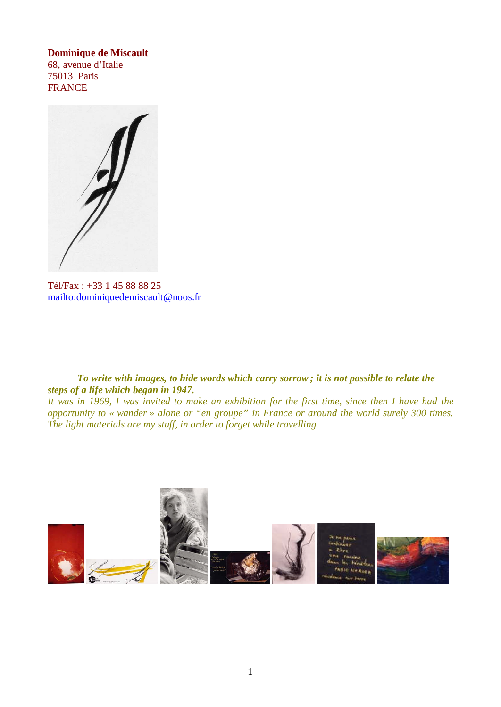#### **Dominique de Miscault**

68, avenue d'Italie 75013 Paris FRANCE

Tél/Fax : +33 1 45 88 88 25 mailto:dominiquedemiscault@noos.fr

### *To write with images, to hide words which carry sorrow ; it is not possible to relate the steps of a life which began in 1947.*

*It was in 1969, I was invited to make an exhibition for the first time, since then I have had the opportunity to « wander » alone or "en groupe" in France or around the world surely 300 times. The light materials are my stuff, in order to forget while travelling.*

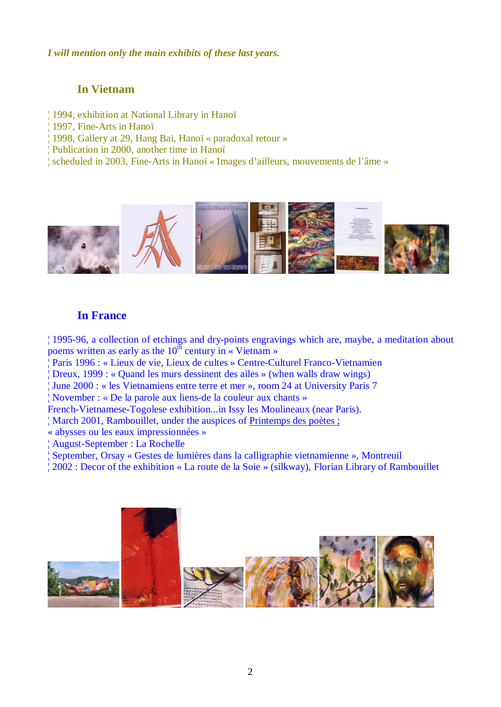#### *I will mention only the main exhibits of these last years.*

# **In Vietnam**

- ¦ 1994, exhibition at National Library in Hanoï
- ¦ 1997, Fine-Arts in Hanoï
- ¦ 1998, Gallery at 29, Hang Bai, Hanoï « paradoxal retour »
- ¦ Publication in 2000, another time in Hanoï
- ¦ scheduled in 2003, Fine-Arts in Hanoï « Images d'ailleurs, mouvements de l'âme »



## **In France**

¦ 1995-96, a collection of etchings and dry-points engravings which are, maybe, a meditation about poems written as early as the  $10^{th}$  century in « Vietnam »

- ¦ Paris 1996 : « Lieux de vie, Lieux de cultes » Centre-Culturel Franco-Vietnamien
- ¦ Dreux, 1999 : « Quand les murs dessinent des ailes » (when walls draw wings)
- ¦ June 2000 : « les Vietnamiens entre terre et mer », room 24 at University Paris 7

¦ November : « De la parole aux liens-de la couleur aux chants »

- French-Vietnamese-Togolese exhibition...in Issy les Moulineaux (near Paris).
- ¦ March 2001, Rambouillet, under the auspices of Printemps des poètes ;

« abysses ou les eaux impressionnées »

- ¦ August-September : La Rochelle
- ¦ September, Orsay « Gestes de lumières dans la calligraphie vietnamienne », Montreuil
- ¦ 2002 : Decor of the exhibition « La route de la Soie » (silkway), Florian Library of Rambouillet